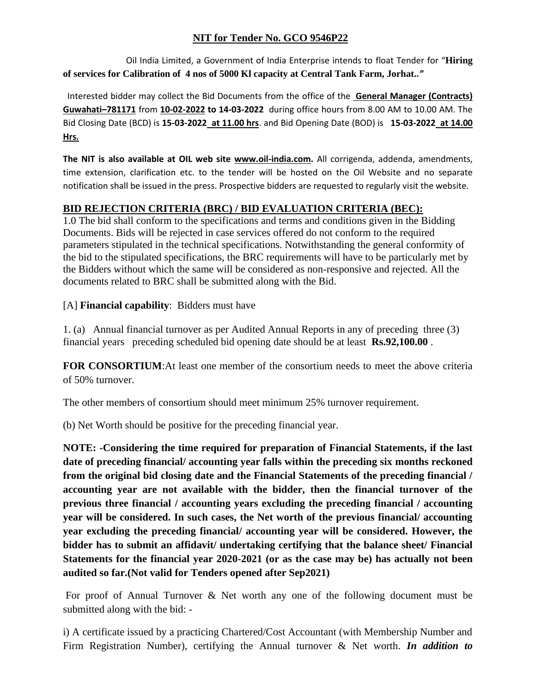# **NIT for Tender No. GCO 9546P22**

Oil India Limited, a Government of India Enterprise intends to float Tender for "**Hiring of services for Calibration of 4 nos of 5000 Kl capacity at Central Tank Farm, Jorhat..***"*

Interested bidder may collect the Bid Documents from the office of the **General Manager (Contracts) Guwahati–781171** from **10-02-2022 to 14-03-2022** during office hours from 8.00 AM to 10.00 AM. The Bid Closing Date (BCD) is **15-03-2022 at 11.00 hrs**. and Bid Opening Date (BOD) is **15-03-2022 at 14.00 Hrs.**

**The NIT is also available at OIL web site [www.oil-india.com.](http://www.oil-india.com/)** All corrigenda, addenda, amendments, time extension, clarification etc. to the tender will be hosted on the Oil Website and no separate notification shall be issued in the press. Prospective bidders are requested to regularly visit the website.

# **BID REJECTION CRITERIA (BRC) / BID EVALUATION CRITERIA (BEC):**

1.0 The bid shall conform to the specifications and terms and conditions given in the Bidding Documents. Bids will be rejected in case services offered do not conform to the required parameters stipulated in the technical specifications. Notwithstanding the general conformity of the bid to the stipulated specifications, the BRC requirements will have to be particularly met by the Bidders without which the same will be considered as non-responsive and rejected. All the documents related to BRC shall be submitted along with the Bid.

[A] **Financial capability**: Bidders must have

1. (a) Annual financial turnover as per Audited Annual Reports in any of preceding three (3) financial years preceding scheduled bid opening date should be at least **Rs.92,100.00** .

**FOR CONSORTIUM**:At least one member of the consortium needs to meet the above criteria of 50% turnover.

The other members of consortium should meet minimum 25% turnover requirement.

(b) Net Worth should be positive for the preceding financial year.

**NOTE: -Considering the time required for preparation of Financial Statements, if the last date of preceding financial/ accounting year falls within the preceding six months reckoned from the original bid closing date and the Financial Statements of the preceding financial / accounting year are not available with the bidder, then the financial turnover of the previous three financial / accounting years excluding the preceding financial / accounting year will be considered. In such cases, the Net worth of the previous financial/ accounting year excluding the preceding financial/ accounting year will be considered. However, the bidder has to submit an affidavit/ undertaking certifying that the balance sheet/ Financial Statements for the financial year 2020-2021 (or as the case may be) has actually not been audited so far.(Not valid for Tenders opened after Sep2021)**

For proof of Annual Turnover & Net worth any one of the following document must be submitted along with the bid: -

i) A certificate issued by a practicing Chartered/Cost Accountant (with Membership Number and Firm Registration Number), certifying the Annual turnover & Net worth. *In addition to*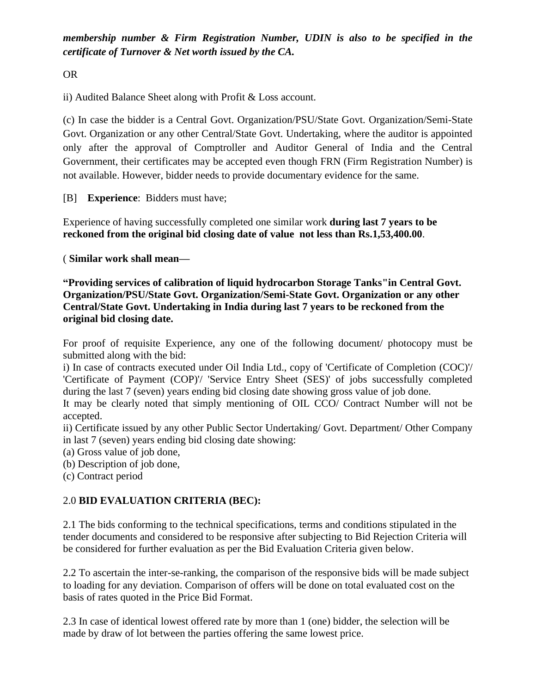*membership number & Firm Registration Number, UDIN is also to be specified in the certificate of Turnover & Net worth issued by the CA.*

OR

ii) Audited Balance Sheet along with Profit & Loss account.

(c) In case the bidder is a Central Govt. Organization/PSU/State Govt. Organization/Semi-State Govt. Organization or any other Central/State Govt. Undertaking, where the auditor is appointed only after the approval of Comptroller and Auditor General of India and the Central Government, their certificates may be accepted even though FRN (Firm Registration Number) is not available. However, bidder needs to provide documentary evidence for the same.

[B] **Experience**: Bidders must have;

Experience of having successfully completed one similar work **during last 7 years to be reckoned from the original bid closing date of value not less than Rs.1,53,400.00**.

( **Similar work shall mean—**

**"Providing services of calibration of liquid hydrocarbon Storage Tanks"in Central Govt. Organization/PSU/State Govt. Organization/Semi-State Govt. Organization or any other Central/State Govt. Undertaking in India during last 7 years to be reckoned from the original bid closing date.**

For proof of requisite Experience, any one of the following document/ photocopy must be submitted along with the bid:

i) In case of contracts executed under Oil India Ltd., copy of 'Certificate of Completion (COC)'/ 'Certificate of Payment (COP)'/ 'Service Entry Sheet (SES)' of jobs successfully completed during the last 7 (seven) years ending bid closing date showing gross value of job done.

It may be clearly noted that simply mentioning of OIL CCO/ Contract Number will not be accepted.

ii) Certificate issued by any other Public Sector Undertaking/ Govt. Department/ Other Company in last 7 (seven) years ending bid closing date showing:

(a) Gross value of job done,

(b) Description of job done,

(c) Contract period

# 2.0 **BID EVALUATION CRITERIA (BEC):**

2.1 The bids conforming to the technical specifications, terms and conditions stipulated in the tender documents and considered to be responsive after subjecting to Bid Rejection Criteria will be considered for further evaluation as per the Bid Evaluation Criteria given below.

2.2 To ascertain the inter-se-ranking, the comparison of the responsive bids will be made subject to loading for any deviation. Comparison of offers will be done on total evaluated cost on the basis of rates quoted in the Price Bid Format.

2.3 In case of identical lowest offered rate by more than 1 (one) bidder, the selection will be made by draw of lot between the parties offering the same lowest price.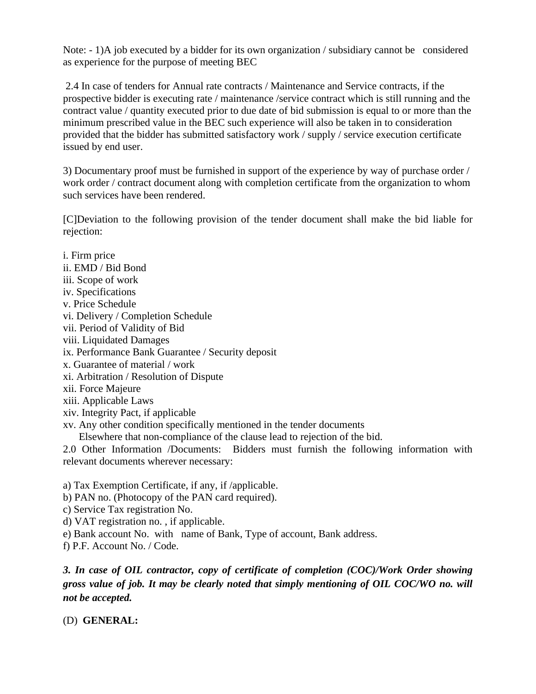Note: - 1)A job executed by a bidder for its own organization / subsidiary cannot be considered as experience for the purpose of meeting BEC

2.4 In case of tenders for Annual rate contracts / Maintenance and Service contracts, if the prospective bidder is executing rate / maintenance /service contract which is still running and the contract value / quantity executed prior to due date of bid submission is equal to or more than the minimum prescribed value in the BEC such experience will also be taken in to consideration provided that the bidder has submitted satisfactory work / supply / service execution certificate issued by end user.

3) Documentary proof must be furnished in support of the experience by way of purchase order / work order / contract document along with completion certificate from the organization to whom such services have been rendered.

[C]Deviation to the following provision of the tender document shall make the bid liable for rejection:

i. Firm price ii. EMD / Bid Bond iii. Scope of work iv. Specifications v. Price Schedule vi. Delivery / Completion Schedule vii. Period of Validity of Bid viii. Liquidated Damages ix. Performance Bank Guarantee / Security deposit x. Guarantee of material / work xi. Arbitration / Resolution of Dispute xii. Force Majeure xiii. Applicable Laws xiv. Integrity Pact, if applicable xv. Any other condition specifically mentioned in the tender documents Elsewhere that non-compliance of the clause lead to rejection of the bid.

2.0 Other Information /Documents: Bidders must furnish the following information with relevant documents wherever necessary:

a) Tax Exemption Certificate, if any, if /applicable.

- b) PAN no. (Photocopy of the PAN card required).
- c) Service Tax registration No.
- d) VAT registration no. , if applicable.
- e) Bank account No. with name of Bank, Type of account, Bank address.
- f) P.F. Account No. / Code.

*3. In case of OIL contractor, copy of certificate of completion (COC)/Work Order showing gross value of job. It may be clearly noted that simply mentioning of OIL COC/WO no. will not be accepted.*

(D) **GENERAL:**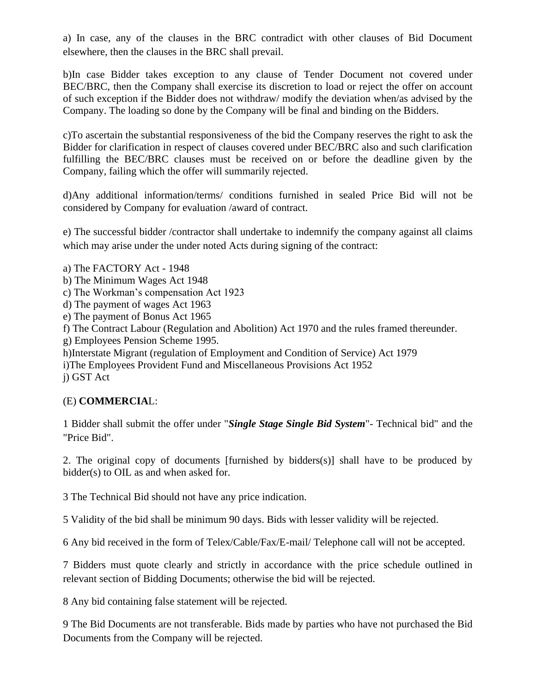a) In case, any of the clauses in the BRC contradict with other clauses of Bid Document elsewhere, then the clauses in the BRC shall prevail.

b)In case Bidder takes exception to any clause of Tender Document not covered under BEC/BRC, then the Company shall exercise its discretion to load or reject the offer on account of such exception if the Bidder does not withdraw/ modify the deviation when/as advised by the Company. The loading so done by the Company will be final and binding on the Bidders.

c)To ascertain the substantial responsiveness of the bid the Company reserves the right to ask the Bidder for clarification in respect of clauses covered under BEC/BRC also and such clarification fulfilling the BEC/BRC clauses must be received on or before the deadline given by the Company, failing which the offer will summarily rejected.

d)Any additional information/terms/ conditions furnished in sealed Price Bid will not be considered by Company for evaluation /award of contract.

e) The successful bidder /contractor shall undertake to indemnify the company against all claims which may arise under the under noted Acts during signing of the contract:

- a) The FACTORY Act 1948
- b) The Minimum Wages Act 1948
- c) The Workman's compensation Act 1923
- d) The payment of wages Act 1963
- e) The payment of Bonus Act 1965
- f) The Contract Labour (Regulation and Abolition) Act 1970 and the rules framed thereunder.
- g) Employees Pension Scheme 1995.
- h)Interstate Migrant (regulation of Employment and Condition of Service) Act 1979

i)The Employees Provident Fund and Miscellaneous Provisions Act 1952 j) GST Act

### (E) **COMMERCIA**L:

1 Bidder shall submit the offer under "*Single Stage Single Bid System*"- Technical bid" and the "Price Bid".

2. The original copy of documents [furnished by bidders(s)] shall have to be produced by bidder(s) to OIL as and when asked for.

3 The Technical Bid should not have any price indication.

5 Validity of the bid shall be minimum 90 days. Bids with lesser validity will be rejected.

6 Any bid received in the form of Telex/Cable/Fax/E-mail/ Telephone call will not be accepted.

7 Bidders must quote clearly and strictly in accordance with the price schedule outlined in relevant section of Bidding Documents; otherwise the bid will be rejected.

8 Any bid containing false statement will be rejected.

9 The Bid Documents are not transferable. Bids made by parties who have not purchased the Bid Documents from the Company will be rejected.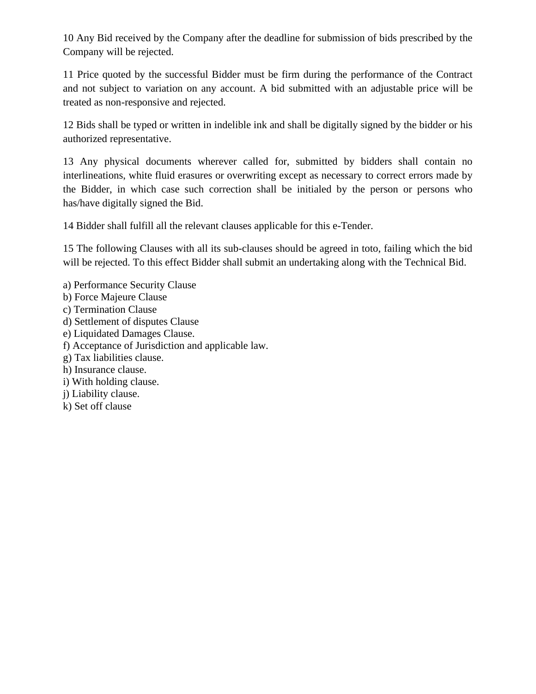10 Any Bid received by the Company after the deadline for submission of bids prescribed by the Company will be rejected.

11 Price quoted by the successful Bidder must be firm during the performance of the Contract and not subject to variation on any account. A bid submitted with an adjustable price will be treated as non-responsive and rejected.

12 Bids shall be typed or written in indelible ink and shall be digitally signed by the bidder or his authorized representative.

13 Any physical documents wherever called for, submitted by bidders shall contain no interlineations, white fluid erasures or overwriting except as necessary to correct errors made by the Bidder, in which case such correction shall be initialed by the person or persons who has/have digitally signed the Bid.

14 Bidder shall fulfill all the relevant clauses applicable for this e-Tender.

15 The following Clauses with all its sub-clauses should be agreed in toto, failing which the bid will be rejected. To this effect Bidder shall submit an undertaking along with the Technical Bid.

- a) Performance Security Clause
- b) Force Majeure Clause
- c) Termination Clause
- d) Settlement of disputes Clause
- e) Liquidated Damages Clause.
- f) Acceptance of Jurisdiction and applicable law.
- g) Tax liabilities clause.
- h) Insurance clause.
- i) With holding clause.
- j) Liability clause.
- k) Set off clause